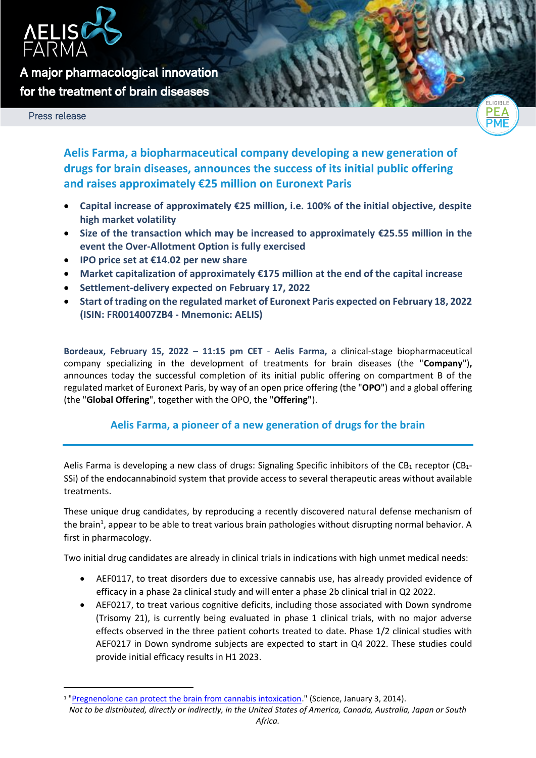

**A major pharmacological innovation for the treatment of brain diseases** 

Press release



**Aelis Farma, a biopharmaceutical company developing a new generation of drugs for brain diseases, announces the success of its initial public offering and raises approximately €25 million on Euronext Paris**

- **Capital increase of approximately €25 million, i.e. 100% of the initial objective, despite high market volatility**
- **Size of the transaction which may be increased to approximately €25.55 million in the event the Over-Allotment Option is fully exercised**
- **IPO price set at €14.02 per new share**
- **Market capitalization of approximately €175 million at the end of the capital increase**
- **Settlement-delivery expected on February 17, 2022**
- **Start of trading on the regulated market of Euronext Paris expected on February 18, 2022 (ISIN: FR0014007ZB4 - Mnemonic: AELIS)**

**Bordeaux, February 15, 2022** – **11:15 pm CET** - **Aelis Farma,** a clinical-stage biopharmaceutical company specializing in the development of treatments for brain diseases (the "**Company**")**,**  announces today the successful completion of its initial public offering on compartment B of the regulated market of Euronext Paris, by way of an open price offering (the "**OPO**") and a global offering (the "**Global Offering**", together with the OPO, the "**Offering"**).

# **Aelis Farma, a pioneer of a new generation of drugs for the brain**

Aelis Farma is developing a new class of drugs: Signaling Specific inhibitors of the CB<sub>1</sub> receptor (CB<sub>1</sub>-SSi) of the endocannabinoid system that provide access to several therapeutic areas without available treatments.

These unique drug candidates, by reproducing a recently discovered natural defense mechanism of the brain<sup>1</sup>, appear to be able to treat various brain pathologies without disrupting normal behavior. A first in pharmacology.

Two initial drug candidates are already in clinical trials in indications with high unmet medical needs:

- AEF0117, to treat disorders due to excessive cannabis use, has already provided evidence of efficacy in a phase 2a clinical study and will enter a phase 2b clinical trial in Q2 2022.
- AEF0217, to treat various cognitive deficits, including those associated with Down syndrome (Trisomy 21), is currently being evaluated in phase 1 clinical trials, with no major adverse effects observed in the three patient cohorts treated to date. Phase 1/2 clinical studies with AEF0217 in Down syndrome subjects are expected to start in Q4 2022. These studies could provide initial efficacy results in H1 2023.

<sup>&</sup>lt;sup>1</sup> ["Pregnenolone can protect the brain from cannabis intoxication.](https://science.sciencemag.org/content/343/6166/94)" (Science, January 3, 2014).

*Not to be distributed, directly or indirectly, in the United States of America, Canada, Australia, Japan or South*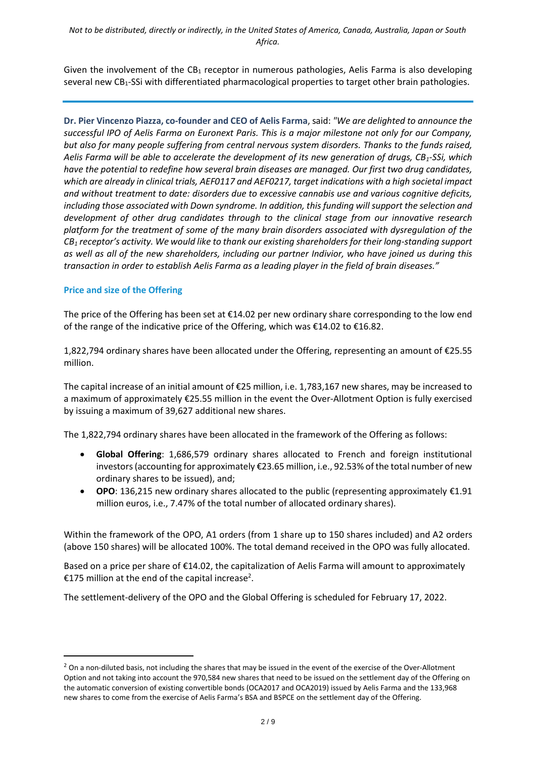Given the involvement of the  $CB_1$  receptor in numerous pathologies, Aelis Farma is also developing several new  $CB_1-SSi$  with differentiated pharmacological properties to target other brain pathologies.

**Dr. Pier Vincenzo Piazza, co-founder and CEO of Aelis Farma**, said: *"We are delighted to announce the successful IPO of Aelis Farma on Euronext Paris. This is a major milestone not only for our Company,*  but also for many people suffering from central nervous system disorders. Thanks to the funds raised, *Aelis Farma will be able to accelerate the development of its new generation of drugs, CB1-SSi, which have the potential to redefine how several brain diseases are managed. Our first two drug candidates, which are already in clinical trials, AEF0117 and AEF0217, target indications with a high societal impact and without treatment to date: disorders due to excessive cannabis use and various cognitive deficits, including those associated with Down syndrome. In addition, this funding will support the selection and development of other drug candidates through to the clinical stage from our innovative research platform for the treatment of some of the many brain disorders associated with dysregulation of the CB<sup>1</sup> receptor's activity. We would like to thank our existing shareholders for their long-standing support as well as all of the new shareholders, including our partner Indivior, who have joined us during this transaction in order to establish Aelis Farma as a leading player in the field of brain diseases."*

### **Price and size of the Offering**

The price of the Offering has been set at  $\epsilon$ 14.02 per new ordinary share corresponding to the low end of the range of the indicative price of the Offering, which was  $\epsilon$ 14.02 to  $\epsilon$ 16.82.

1,822,794 ordinary shares have been allocated under the Offering, representing an amount of €25.55 million.

The capital increase of an initial amount of €25 million, i.e. 1,783,167 new shares, may be increased to a maximum of approximately €25.55 million in the event the Over-Allotment Option is fully exercised by issuing a maximum of 39,627 additional new shares.

The 1,822,794 ordinary shares have been allocated in the framework of the Offering as follows:

- **Global Offering**: 1,686,579 ordinary shares allocated to French and foreign institutional investors (accounting for approximately €23.65 million, i.e., 92.53% of the total number of new ordinary shares to be issued), and;
- **OPO**: 136,215 new ordinary shares allocated to the public (representing approximately €1.91 million euros, i.e., 7.47% of the total number of allocated ordinary shares).

Within the framework of the OPO, A1 orders (from 1 share up to 150 shares included) and A2 orders (above 150 shares) will be allocated 100%. The total demand received in the OPO was fully allocated.

Based on a price per share of €14.02, the capitalization of Aelis Farma will amount to approximately €175 million at the end of the capital increase<sup>2</sup>.

The settlement-delivery of the OPO and the Global Offering is scheduled for February 17, 2022.

<sup>&</sup>lt;sup>2</sup> On a non-diluted basis, not including the shares that may be issued in the event of the exercise of the Over-Allotment Option and not taking into account the 970,584 new shares that need to be issued on the settlement day of the Offering on the automatic conversion of existing convertible bonds (OCA2017 and OCA2019) issued by Aelis Farma and the 133,968 new shares to come from the exercise of Aelis Farma's BSA and BSPCE on the settlement day of the Offering.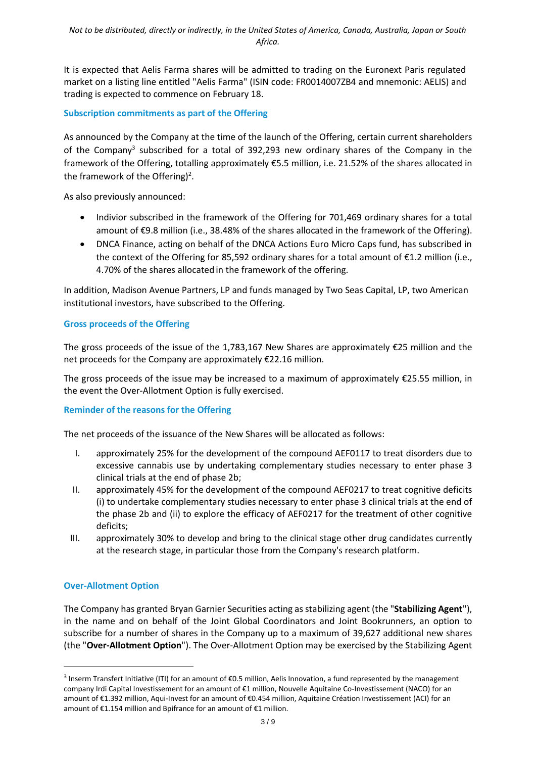It is expected that Aelis Farma shares will be admitted to trading on the Euronext Paris regulated market on a listing line entitled "Aelis Farma" (ISIN code: FR0014007ZB4 and mnemonic: AELIS) and trading is expected to commence on February 18.

### **Subscription commitments as part of the Offering**

As announced by the Company at the time of the launch of the Offering, certain current shareholders of the Company<sup>3</sup> subscribed for a total of 392,293 new ordinary shares of the Company in the framework of the Offering, totalling approximately €5.5 million, i.e. 21.52% of the shares allocated in the framework of the Offering)<sup>2</sup>.

As also previously announced:

- Indivior subscribed in the framework of the Offering for 701,469 ordinary shares for a total amount of €9.8 million (i.e., 38.48% of the shares allocated in the framework of the Offering).
- DNCA Finance, acting on behalf of the DNCA Actions Euro Micro Caps fund, has subscribed in the context of the Offering for 85,592 ordinary shares for a total amount of €1.2 million (i.e., 4.70% of the shares allocated in the framework of the offering.

In addition, Madison Avenue Partners, LP and funds managed by Two Seas Capital, LP, two American institutional investors, have subscribed to the Offering.

# **Gross proceeds of the Offering**

The gross proceeds of the issue of the 1,783,167 New Shares are approximately €25 million and the net proceeds for the Company are approximately €22.16 million.

The gross proceeds of the issue may be increased to a maximum of approximately €25.55 million, in the event the Over-Allotment Option is fully exercised.

### **Reminder of the reasons for the Offering**

The net proceeds of the issuance of the New Shares will be allocated as follows:

- I. approximately 25% for the development of the compound AEF0117 to treat disorders due to excessive cannabis use by undertaking complementary studies necessary to enter phase 3 clinical trials at the end of phase 2b;
- II. approximately 45% for the development of the compound AEF0217 to treat cognitive deficits (i) to undertake complementary studies necessary to enter phase 3 clinical trials at the end of the phase 2b and (ii) to explore the efficacy of AEF0217 for the treatment of other cognitive deficits;
- III. approximately 30% to develop and bring to the clinical stage other drug candidates currently at the research stage, in particular those from the Company's research platform.

# **Over-Allotment Option**

The Company has granted Bryan Garnier Securities acting as stabilizing agent (the "**Stabilizing Agent**"), in the name and on behalf of the Joint Global Coordinators and Joint Bookrunners, an option to subscribe for a number of shares in the Company up to a maximum of 39,627 additional new shares (the "**Over-Allotment Option**"). The Over-Allotment Option may be exercised by the Stabilizing Agent

<sup>&</sup>lt;sup>3</sup> Inserm Transfert Initiative (ITI) for an amount of €0.5 million, Aelis Innovation, a fund represented by the management company Irdi Capital Investissement for an amount of €1 million, Nouvelle Aquitaine Co-Investissement (NACO) for an amount of €1.392 million, Aqui-Invest for an amount of €0.454 million, Aquitaine Création Investissement (ACI) for an amount of €1.154 million and Bpifrance for an amount of €1 million.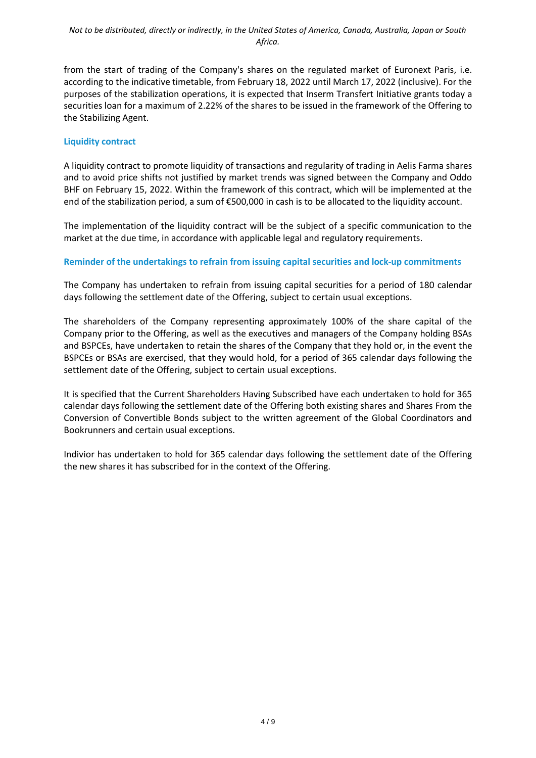from the start of trading of the Company's shares on the regulated market of Euronext Paris, i.e. according to the indicative timetable, from February 18, 2022 until March 17, 2022 (inclusive). For the purposes of the stabilization operations, it is expected that Inserm Transfert Initiative grants today a securities loan for a maximum of 2.22% of the shares to be issued in the framework of the Offering to the Stabilizing Agent.

### **Liquidity contract**

A liquidity contract to promote liquidity of transactions and regularity of trading in Aelis Farma shares and to avoid price shifts not justified by market trends was signed between the Company and Oddo BHF on February 15, 2022. Within the framework of this contract, which will be implemented at the end of the stabilization period, a sum of €500,000 in cash is to be allocated to the liquidity account.

The implementation of the liquidity contract will be the subject of a specific communication to the market at the due time, in accordance with applicable legal and regulatory requirements.

# **Reminder of the undertakings to refrain from issuing capital securities and lock-up commitments**

The Company has undertaken to refrain from issuing capital securities for a period of 180 calendar days following the settlement date of the Offering, subject to certain usual exceptions.

The shareholders of the Company representing approximately 100% of the share capital of the Company prior to the Offering, as well as the executives and managers of the Company holding BSAs and BSPCEs, have undertaken to retain the shares of the Company that they hold or, in the event the BSPCEs or BSAs are exercised, that they would hold, for a period of 365 calendar days following the settlement date of the Offering, subject to certain usual exceptions.

It is specified that the Current Shareholders Having Subscribed have each undertaken to hold for 365 calendar days following the settlement date of the Offering both existing shares and Shares From the Conversion of Convertible Bonds subject to the written agreement of the Global Coordinators and Bookrunners and certain usual exceptions.

Indivior has undertaken to hold for 365 calendar days following the settlement date of the Offering the new shares it has subscribed for in the context of the Offering.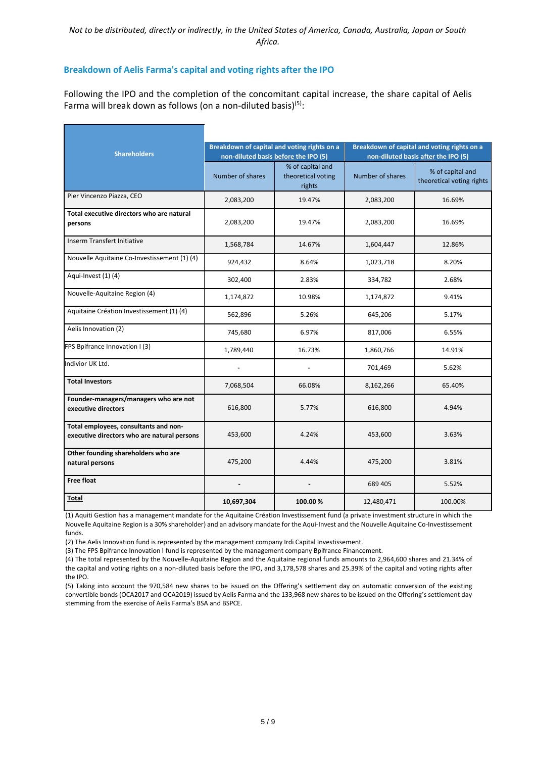#### **Breakdown of Aelis Farma's capital and voting rights after the IPO**

Following the IPO and the completion of the concomitant capital increase, the share capital of Aelis Farma will break down as follows (on a non-diluted basis)<sup>(5)</sup>:

| <b>Shareholders</b>                                                                  |                          | Breakdown of capital and voting rights on a<br>non-diluted basis before the IPO (5) | Breakdown of capital and voting rights on a<br>non-diluted basis after the IPO (5) |                                               |
|--------------------------------------------------------------------------------------|--------------------------|-------------------------------------------------------------------------------------|------------------------------------------------------------------------------------|-----------------------------------------------|
|                                                                                      | Number of shares         | % of capital and<br>theoretical voting<br>rights                                    | Number of shares                                                                   | % of capital and<br>theoretical voting rights |
| Pier Vincenzo Piazza, CEO                                                            | 2,083,200                | 19.47%                                                                              | 2,083,200                                                                          | 16.69%                                        |
| Total executive directors who are natural<br>persons                                 | 2,083,200                | 19.47%                                                                              | 2,083,200                                                                          | 16.69%                                        |
| Inserm Transfert Initiative                                                          | 1,568,784                | 14.67%                                                                              | 1,604,447                                                                          | 12.86%                                        |
| Nouvelle Aquitaine Co-Investissement (1) (4)                                         | 924,432                  | 8.64%                                                                               | 1,023,718                                                                          | 8.20%                                         |
| Aqui-Invest (1) (4)                                                                  | 302,400                  | 2.83%                                                                               | 334,782                                                                            | 2.68%                                         |
| Nouvelle-Aquitaine Region (4)                                                        | 1,174,872                | 10.98%                                                                              | 1,174,872                                                                          | 9.41%                                         |
| Aquitaine Création Investissement (1) (4)                                            | 562,896                  | 5.26%                                                                               | 645,206                                                                            | 5.17%                                         |
| Aelis Innovation (2)                                                                 | 745,680                  | 6.97%                                                                               | 817,006                                                                            | 6.55%                                         |
| FPS Bpifrance Innovation I (3)                                                       | 1,789,440                | 16.73%                                                                              | 1,860,766                                                                          | 14.91%                                        |
| Indivior UK Ltd.                                                                     | $\overline{\phantom{a}}$ | $\blacksquare$                                                                      | 701,469                                                                            | 5.62%                                         |
| <b>Total Investors</b>                                                               | 7,068,504                | 66.08%                                                                              | 8,162,266                                                                          | 65.40%                                        |
| Founder-managers/managers who are not<br>executive directors                         | 616,800                  | 5.77%                                                                               | 616,800                                                                            | 4.94%                                         |
| Total employees, consultants and non-<br>executive directors who are natural persons | 453,600                  | 4.24%                                                                               | 453,600                                                                            | 3.63%                                         |
| Other founding shareholders who are<br>natural persons                               | 475,200                  | 4.44%                                                                               | 475,200                                                                            | 3.81%                                         |
| <b>Free float</b>                                                                    | $\blacksquare$           | $\overline{\phantom{m}}$                                                            | 689 405                                                                            | 5.52%                                         |
| Total                                                                                | 10,697,304               | 100.00%                                                                             | 12,480,471                                                                         | 100.00%                                       |

(1) Aquiti Gestion has a management mandate for the Aquitaine Création Investissement fund (a private investment structure in which the Nouvelle Aquitaine Region is a 30% shareholder) and an advisory mandate for the Aqui-Invest and the Nouvelle Aquitaine Co-Investissement funds.

(2) The Aelis Innovation fund is represented by the management company Irdi Capital Investissement.

(3) The FPS Bpifrance Innovation I fund is represented by the management company Bpifrance Financement.

(4) The total represented by the Nouvelle-Aquitaine Region and the Aquitaine regional funds amounts to 2,964,600 shares and 21.34% of the capital and voting rights on a non-diluted basis before the IPO, and 3,178,578 shares and 25.39% of the capital and voting rights after the IPO.

(5) Taking into account the 970,584 new shares to be issued on the Offering's settlement day on automatic conversion of the existing convertible bonds (OCA2017 and OCA2019) issued by Aelis Farma and the 133,968 new shares to be issued on the Offering's settlement day stemming from the exercise of Aelis Farma's BSA and BSPCE.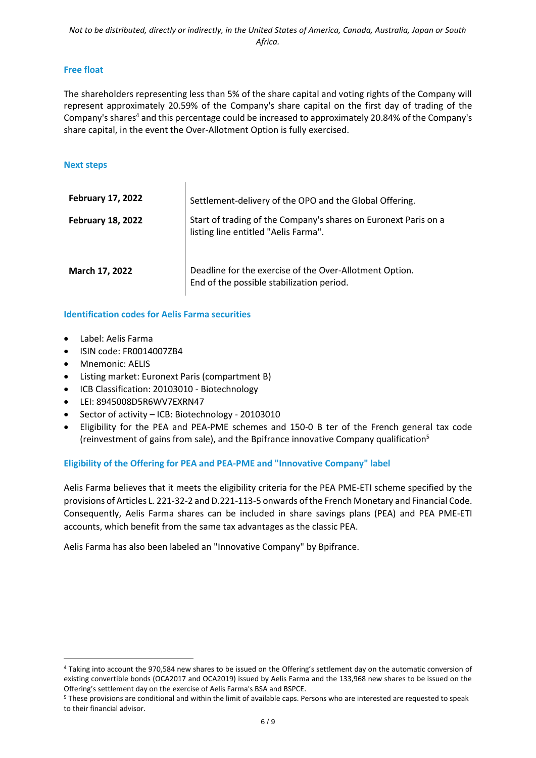### **Free float**

The shareholders representing less than 5% of the share capital and voting rights of the Company will represent approximately 20.59% of the Company's share capital on the first day of trading of the Company's shares<sup>4</sup> and this percentage could be increased to approximately 20.84% of the Company's share capital, in the event the Over-Allotment Option is fully exercised.

#### **Next steps**

| <b>February 17, 2022</b> | Settlement-delivery of the OPO and the Global Offering.                                                 |
|--------------------------|---------------------------------------------------------------------------------------------------------|
| <b>February 18, 2022</b> | Start of trading of the Company's shares on Euronext Paris on a<br>listing line entitled "Aelis Farma". |
| March 17, 2022           | Deadline for the exercise of the Over-Allotment Option.<br>End of the possible stabilization period.    |

### **Identification codes for Aelis Farma securities**

 $\overline{\phantom{a}}$ 

- Label: Aelis Farma
- ISIN code: FR0014007ZB4
- Mnemonic: AELIS
- Listing market: Euronext Paris (compartment B)
- ICB Classification: 20103010 Biotechnology
- LEI: 8945008D5R6WV7EXRN47
- Sector of activity ICB: Biotechnology 20103010
- Eligibility for the PEA and PEA-PME schemes and 150-0 B ter of the French general tax code (reinvestment of gains from sale), and the Bpifrance innovative Company qualification<sup>5</sup>

### **Eligibility of the Offering for PEA and PEA-PME and "Innovative Company" label**

Aelis Farma believes that it meets the eligibility criteria for the PEA PME-ETI scheme specified by the provisions of Articles L. 221-32-2 and D.221-113-5 onwards of the French Monetary and Financial Code. Consequently, Aelis Farma shares can be included in share savings plans (PEA) and PEA PME-ETI accounts, which benefit from the same tax advantages as the classic PEA.

Aelis Farma has also been labeled an "Innovative Company" by Bpifrance.

<sup>4</sup> Taking into account the 970,584 new shares to be issued on the Offering's settlement day on the automatic conversion of existing convertible bonds (OCA2017 and OCA2019) issued by Aelis Farma and the 133,968 new shares to be issued on the Offering's settlement day on the exercise of Aelis Farma's BSA and BSPCE.

<sup>5</sup> These provisions are conditional and within the limit of available caps. Persons who are interested are requested to speak to their financial advisor.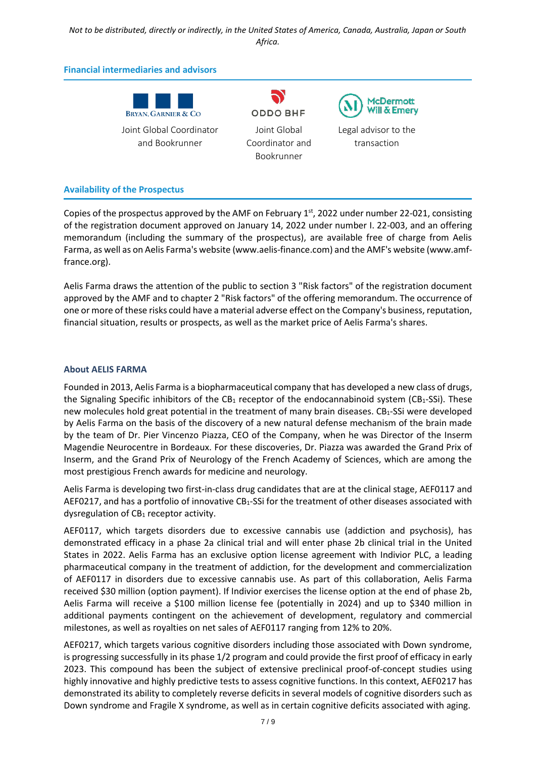*Not to be distributed, directly or indirectly, in the United States of America, Canada, Australia, Japan or South Africa.*

#### **Financial intermediaries and advisors**

| Bryan. Garnier & Co |  |  |  |  |  |  |
|---------------------|--|--|--|--|--|--|

Joint Global Coordinator and Bookrunner

N) **ODDO BHF** Joint Global Coordinator and Bookrunner

**McDermott Will & Emery** 

Legal advisor to the transaction

#### **Availability of the Prospectus**

Copies of the prospectus approved by the AMF on February 1<sup>st</sup>, 2022 under number 22-021, consisting of the registration document approved on January 14, 2022 under number I. 22-003, and an offering memorandum (including the summary of the prospectus), are available free of charge from Aelis Farma, as well as on Aelis Farma's website (www.aelis-finance.com) and the AMF's website (www.amffrance.org).

Aelis Farma draws the attention of the public to section 3 "Risk factors" of the registration document approved by the AMF and to chapter 2 "Risk factors" of the offering memorandum. The occurrence of one or more of these risks could have a material adverse effect on the Company's business, reputation, financial situation, results or prospects, as well as the market price of Aelis Farma's shares.

#### **About AELIS FARMA**

Founded in 2013, Aelis Farma is a biopharmaceutical company that has developed a new class of drugs, the Signaling Specific inhibitors of the CB<sub>1</sub> receptor of the endocannabinoid system (CB<sub>1</sub>-SSi). These new molecules hold great potential in the treatment of many brain diseases.  $CB_1$ -SSi were developed by Aelis Farma on the basis of the discovery of a new natural defense mechanism of the brain made by the team of Dr. Pier Vincenzo Piazza, CEO of the Company, when he was Director of the Inserm Magendie Neurocentre in Bordeaux. For these discoveries, Dr. Piazza was awarded the Grand Prix of Inserm, and the Grand Prix of Neurology of the French Academy of Sciences, which are among the most prestigious French awards for medicine and neurology.

Aelis Farma is developing two first-in-class drug candidates that are at the clinical stage, AEF0117 and AEF0217, and has a portfolio of innovative CB<sub>1</sub>-SSi for the treatment of other diseases associated with dysregulation of  $CB_1$  receptor activity.

AEF0117, which targets disorders due to excessive cannabis use (addiction and psychosis), has demonstrated efficacy in a phase 2a clinical trial and will enter phase 2b clinical trial in the United States in 2022. Aelis Farma has an exclusive option license agreement with Indivior PLC, a leading pharmaceutical company in the treatment of addiction, for the development and commercialization of AEF0117 in disorders due to excessive cannabis use. As part of this collaboration, Aelis Farma received \$30 million (option payment). If Indivior exercises the license option at the end of phase 2b, Aelis Farma will receive a \$100 million license fee (potentially in 2024) and up to \$340 million in additional payments contingent on the achievement of development, regulatory and commercial milestones, as well as royalties on net sales of AEF0117 ranging from 12% to 20%.

AEF0217, which targets various cognitive disorders including those associated with Down syndrome, is progressing successfully in its phase 1/2 program and could provide the first proof of efficacy in early 2023. This compound has been the subject of extensive preclinical proof-of-concept studies using highly innovative and highly predictive tests to assess cognitive functions. In this context, AEF0217 has demonstrated its ability to completely reverse deficits in several models of cognitive disorders such as Down syndrome and Fragile X syndrome, as well as in certain cognitive deficits associated with aging.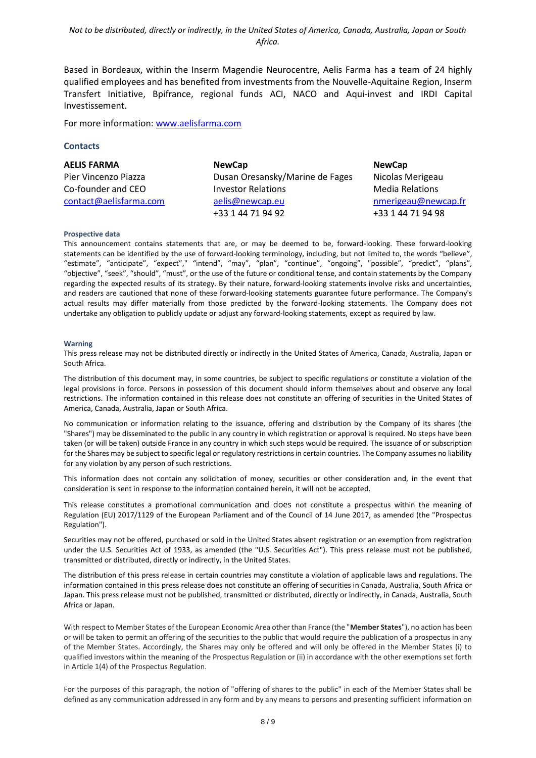Based in Bordeaux, within the Inserm Magendie Neurocentre, Aelis Farma has a team of 24 highly qualified employees and has benefited from investments from the Nouvelle-Aquitaine Region, Inserm Transfert Initiative, Bpifrance, regional funds ACI, NACO and Aqui-invest and IRDI Capital Investissement.

For more information: [www.aelisfarma.com](http://www.aelisfarma.com/)

#### **Contacts**

| <b>AELIS FARMA</b>     | <b>NewCap</b>                   | <b>NewCap</b>          |
|------------------------|---------------------------------|------------------------|
| Pier Vincenzo Piazza   | Dusan Oresansky/Marine de Fages | Nicolas Merigeau       |
| Co-founder and CEO     | <b>Investor Relations</b>       | <b>Media Relations</b> |
| contact@aelisfarma.com | aelis@newcap.eu                 | nmerigeau@newcap.fr    |
|                        | +33 1 44 71 94 92               | +33 1 44 71 94 98      |

#### **Prospective data**

This announcement contains statements that are, or may be deemed to be, forward-looking. These forward-looking statements can be identified by the use of forward-looking terminology, including, but not limited to, the words "believe", "estimate", "anticipate", "expect"," "intend", "may", "plan", "continue", "ongoing", "possible", "predict", "plans", "objective", "seek", "should", "must", or the use of the future or conditional tense, and contain statements by the Company regarding the expected results of its strategy. By their nature, forward-looking statements involve risks and uncertainties, and readers are cautioned that none of these forward-looking statements guarantee future performance. The Company's actual results may differ materially from those predicted by the forward-looking statements. The Company does not undertake any obligation to publicly update or adjust any forward-looking statements, except as required by law.

#### **Warning**

This press release may not be distributed directly or indirectly in the United States of America, Canada, Australia, Japan or South Africa.

The distribution of this document may, in some countries, be subject to specific regulations or constitute a violation of the legal provisions in force. Persons in possession of this document should inform themselves about and observe any local restrictions. The information contained in this release does not constitute an offering of securities in the United States of America, Canada, Australia, Japan or South Africa.

No communication or information relating to the issuance, offering and distribution by the Company of its shares (the "Shares") may be disseminated to the public in any country in which registration or approval is required. No steps have been taken (or will be taken) outside France in any country in which such steps would be required. The issuance of or subscription for the Shares may be subject to specific legal or regulatory restrictions in certain countries. The Company assumes no liability for any violation by any person of such restrictions.

This information does not contain any solicitation of money, securities or other consideration and, in the event that consideration is sent in response to the information contained herein, it will not be accepted.

This release constitutes a promotional communication and does not constitute a prospectus within the meaning of Regulation (EU) 2017/1129 of the European Parliament and of the Council of 14 June 2017, as amended (the "Prospectus Regulation").

Securities may not be offered, purchased or sold in the United States absent registration or an exemption from registration under the U.S. Securities Act of 1933, as amended (the "U.S. Securities Act"). This press release must not be published, transmitted or distributed, directly or indirectly, in the United States.

The distribution of this press release in certain countries may constitute a violation of applicable laws and regulations. The information contained in this press release does not constitute an offering of securities in Canada, Australia, South Africa or Japan. This press release must not be published, transmitted or distributed, directly or indirectly, in Canada, Australia, South Africa or Japan.

With respect to Member States of the European Economic Area other than France (the "**Member States**"), no action has been or will be taken to permit an offering of the securities to the public that would require the publication of a prospectus in any of the Member States. Accordingly, the Shares may only be offered and will only be offered in the Member States (i) to qualified investors within the meaning of the Prospectus Regulation or (ii) in accordance with the other exemptions set forth in Article 1(4) of the Prospectus Regulation.

For the purposes of this paragraph, the notion of "offering of shares to the public" in each of the Member States shall be defined as any communication addressed in any form and by any means to persons and presenting sufficient information on